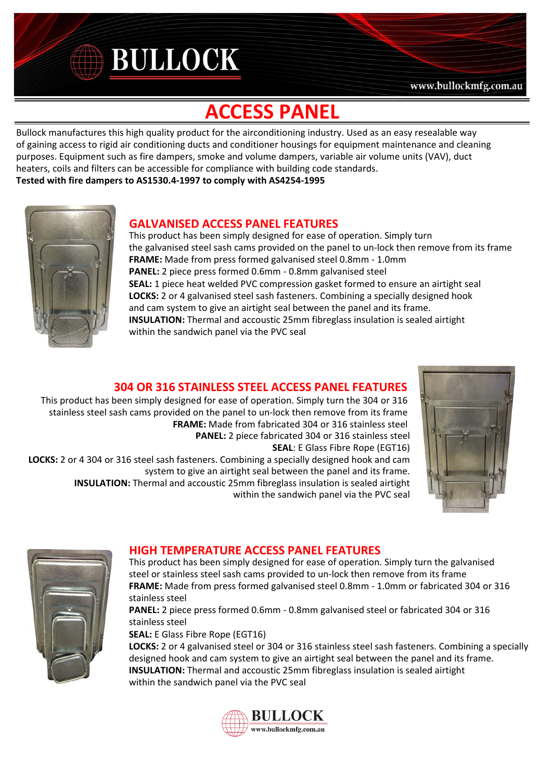# **BULLOCK**

### www.bullockmfg.com.au

## **ACCESS PANEL**

Bullock manufactures this high quality product for the airconditioning industry. Used as an easy resealable way of gaining access to rigid air conditioning ducts and conditioner housings for equipment maintenance and cleaning purposes. Equipment such as fire dampers, smoke and volume dampers, variable air volume units (VAV), duct heaters, coils and filters can be accessible for compliance with building code standards.

**Tested with fire dampers to AS1530.4-1997 to comply with AS4254-1995**



## **GALVANISED ACCESS PANEL FEATURES**

This product has been simply designed for ease of operation. Simply turn the galvanised steel sash cams provided on the panel to un-lock then remove from its frame **FRAME:** Made from press formed galvanised steel 0.8mm - 1.0mm **PANEL:** 2 piece press formed 0.6mm - 0.8mm galvanised steel **SEAL:** 1 piece heat welded PVC compression gasket formed to ensure an airtight seal **LOCKS:** 2 or 4 galvanised steel sash fasteners. Combining a specially designed hook and cam system to give an airtight seal between the panel and its frame. **INSULATION:** Thermal and accoustic 25mm fibreglass insulation is sealed airtight within the sandwich panel via the PVC seal

## **304 OR 316 STAINLESS STEEL ACCESS PANEL FEATURES**

This product has been simply designed for ease of operation. Simply turn the 304 or 316 stainless steel sash cams provided on the panel to un-lock then remove from its frame **FRAME:** Made from fabricated 304 or 316 stainless steel **PANEL:** 2 piece fabricated 304 or 316 stainless steel **SEAL**: E Glass Fibre Rope (EGT16)

**LOCKS:** 2 or 4 304 or 316 steel sash fasteners. Combining a specially designed hook and cam system to give an airtight seal between the panel and its frame. **INSULATION:** Thermal and accoustic 25mm fibreglass insulation is sealed airtight within the sandwich panel via the PVC seal





## **HIGH TEMPERATURE ACCESS PANEL FEATURES**

This product has been simply designed for ease of operation. Simply turn the galvanised steel or stainless steel sash cams provided to un-lock then remove from its frame **FRAME:** Made from press formed galvanised steel 0.8mm - 1.0mm or fabricated 304 or 316 stainless steel

**PANEL:** 2 piece press formed 0.6mm - 0.8mm galvanised steel or fabricated 304 or 316 stainless steel

**SEAL:** E Glass Fibre Rope (EGT16)

**LOCKS:** 2 or 4 galvanised steel or 304 or 316 stainless steel sash fasteners. Combining a specially designed hook and cam system to give an airtight seal between the panel and its frame. **INSULATION:** Thermal and accoustic 25mm fibreglass insulation is sealed airtight within the sandwich panel via the PVC seal